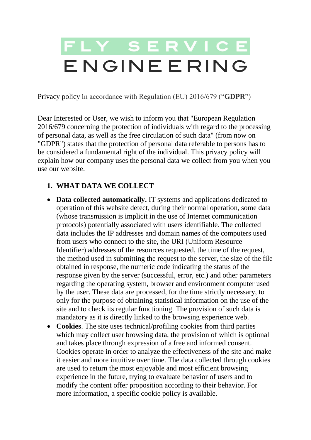# FLY SERVICE ENGINEERING

Privacy policy in accordance with Regulation (EU) 2016/679 ("**GDPR**")

Dear Interested or User, we wish to inform you that "European Regulation 2016/679 concerning the protection of individuals with regard to the processing of personal data, as well as the free circulation of such data" (from now on "GDPR") states that the protection of personal data referable to persons has to be considered a fundamental right of the individual. This privacy policy will explain how our company uses the personal data we collect from you when you use our website.

### **1. WHAT DATA WE COLLECT**

- **Data collected automatically.** IT systems and applications dedicated to operation of this website detect, during their normal operation, some data (whose transmission is implicit in the use of Internet communication protocols) potentially associated with users identifiable. The collected data includes the IP addresses and domain names of the computers used from users who connect to the site, the URI (Uniform Resource Identifier) addresses of the resources requested, the time of the request, the method used in submitting the request to the server, the size of the file obtained in response, the numeric code indicating the status of the response given by the server (successful, error, etc.) and other parameters regarding the operating system, browser and environment computer used by the user. These data are processed, for the time strictly necessary, to only for the purpose of obtaining statistical information on the use of the site and to check its regular functioning. The provision of such data is mandatory as it is directly linked to the browsing experience web.
- **Cookies**. The site uses technical/profiling cookies from third parties which may collect user browsing data, the provision of which is optional and takes place through expression of a free and informed consent. Cookies operate in order to analyze the effectiveness of the site and make it easier and more intuitive over time. The data collected through cookies are used to return the most enjoyable and most efficient browsing experience in the future, trying to evaluate behavior of users and to modify the content offer proposition according to their behavior. For more information, a specific cookie policy is available.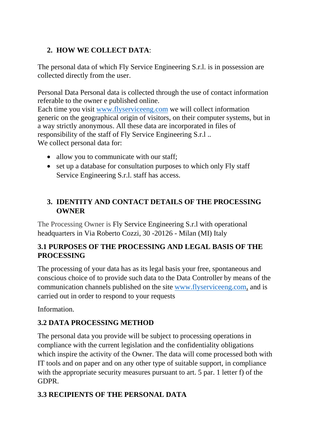# **2. HOW WE COLLECT DATA**:

The personal data of which Fly Service Engineering S.r.l. is in possession are collected directly from the user.

Personal Data Personal data is collected through the use of contact information referable to the owner e published online.

Each time you visit [www.flyserviceeng.com](https://www.flyserviceeng.com/) we will collect information generic on the geographical origin of visitors, on their computer systems, but in a way strictly anonymous. All these data are incorporated in files of responsibility of the staff of Fly Service Engineering S.r.l .. We collect personal data for:

- allow you to communicate with our staff;
- set up a database for consultation purposes to which only Fly staff Service Engineering S.r.l. staff has access.

# **3. IDENTITY AND CONTACT DETAILS OF THE PROCESSING OWNER**

The Processing Owner is Fly Service Engineering S.r.l with operational headquarters in Via Roberto Cozzi, 30 -20126 - Milan (MI) Italy

# **3.1 PURPOSES OF THE PROCESSING AND LEGAL BASIS OF THE PROCESSING**

The processing of your data has as its legal basis your free, spontaneous and conscious choice of to provide such data to the Data Controller by means of the communication channels published on the site [www.flyserviceeng.com,](https://www.flyserviceeng.com/) and is carried out in order to respond to your requests

Information.

## **3.2 DATA PROCESSING METHOD**

The personal data you provide will be subject to processing operations in compliance with the current legislation and the confidentiality obligations which inspire the activity of the Owner. The data will come processed both with IT tools and on paper and on any other type of suitable support, in compliance with the appropriate security measures pursuant to art. 5 par. 1 letter f) of the GDPR.

# **3.3 RECIPIENTS OF THE PERSONAL DATA**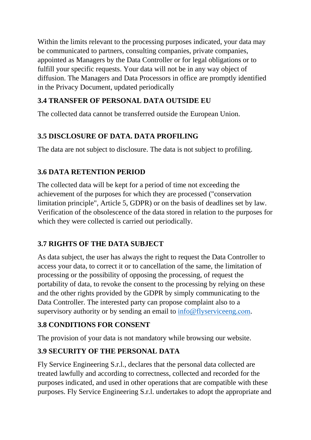Within the limits relevant to the processing purposes indicated, your data may be communicated to partners, consulting companies, private companies, appointed as Managers by the Data Controller or for legal obligations or to fulfill your specific requests. Your data will not be in any way object of diffusion. The Managers and Data Processors in office are promptly identified in the Privacy Document, updated periodically

# **3.4 TRANSFER OF PERSONAL DATA OUTSIDE EU**

The collected data cannot be transferred outside the European Union.

# **3.5 DISCLOSURE OF DATA. DATA PROFILING**

The data are not subject to disclosure. The data is not subject to profiling.

# **3.6 DATA RETENTION PERIOD**

The collected data will be kept for a period of time not exceeding the achievement of the purposes for which they are processed ("conservation limitation principle", Article 5, GDPR) or on the basis of deadlines set by law. Verification of the obsolescence of the data stored in relation to the purposes for which they were collected is carried out periodically.

# **3.7 RIGHTS OF THE DATA SUBJECT**

As data subject, the user has always the right to request the Data Controller to access your data, to correct it or to cancellation of the same, the limitation of processing or the possibility of opposing the processing, of request the portability of data, to revoke the consent to the processing by relying on these and the other rights provided by the GDPR by simply communicating to the Data Controller. The interested party can propose complaint also to a supervisory authority or by sending an email to  $info@flys$ erviceeng.com.

# **3.8 CONDITIONS FOR CONSENT**

The provision of your data is not mandatory while browsing our website.

# **3.9 SECURITY OF THE PERSONAL DATA**

Fly Service Engineering S.r.l., declares that the personal data collected are treated lawfully and according to correctness, collected and recorded for the purposes indicated, and used in other operations that are compatible with these purposes. Fly Service Engineering S.r.l. undertakes to adopt the appropriate and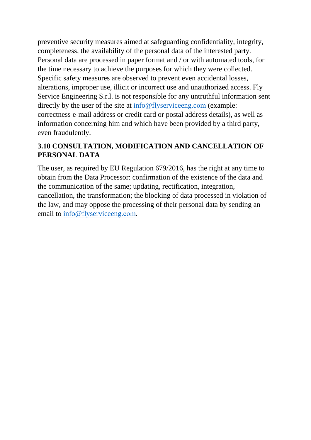preventive security measures aimed at safeguarding confidentiality, integrity, completeness, the availability of the personal data of the interested party. Personal data are processed in paper format and / or with automated tools, for the time necessary to achieve the purposes for which they were collected. Specific safety measures are observed to prevent even accidental losses, alterations, improper use, illicit or incorrect use and unauthorized access. Fly Service Engineering S.r.l. is not responsible for any untruthful information sent directly by the user of the site at [info@flyserviceeng.](mailto:info@flyserviceeng.com)com (example: correctness e-mail address or credit card or postal address details), as well as information concerning him and which have been provided by a third party, even fraudulently.

# **3.10 CONSULTATION, MODIFICATION AND CANCELLATION OF PERSONAL DATA**

The user, as required by EU Regulation 679/2016, has the right at any time to obtain from the Data Processor: confirmation of the existence of the data and the communication of the same; updating, rectification, integration, cancellation, the transformation; the blocking of data processed in violation of the law, and may oppose the processing of their personal data by sending an email to [info@flyserviceeng.](mailto:info@flyserviceeng.com)com.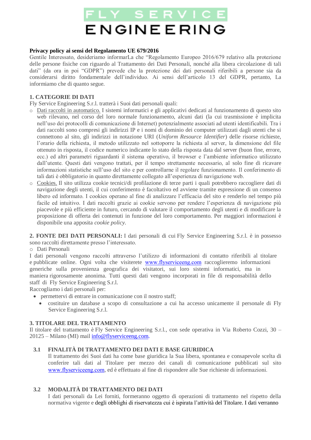# **ENGINEERING**

#### **Privacy policy ai sensi del Regolamento UE 679/2016**

Gentile Interessato, desideriamo informarLa che "Regolamento Europeo 2016/679 relativo alla protezione delle persone fisiche con riguardo al Trattamento dei Dati Personali, nonché alla libera circolazione di tali dati" (da ora in poi "GDPR") prevede che la protezione dei dati personali riferibili a persone sia da considerarsi diritto fondamentale dell'individuo. Ai sensi dell'articolo 13 del GDPR, pertanto, La informiamo che di quanto segue.

#### **1. CATEGORIE DI DATI**

Fly Service Engineering S.r.l. tratterà i Suoi dati personali quali:

- o Dati raccolti in automatico. I sistemi informatici e gli applicativi dedicati al funzionamento di questo sito web rilevano, nel corso del loro normale funzionamento, alcuni dati (la cui trasmissione è implicita nell'uso dei protocolli di comunicazione di Internet) potenzialmente associati ad utenti identificabili. Tra i dati raccolti sono compresi gli indirizzi IP e i nomi di dominio dei computer utilizzati dagli utenti che si connettono al sito, gli indirizzi in notazione URI (*Uniform Resource Identifier*) delle risorse richieste, l'orario della richiesta, il metodo utilizzato nel sottoporre la richiesta al server, la dimensione del file ottenuto in risposta, il codice numerico indicante lo stato della risposta data dal server (buon fine, errore, ecc.) ed altri parametri riguardanti il sistema operativo, il browser e l'ambiente informatico utilizzato dall'utente. Questi dati vengono trattati, per il tempo strettamente necessario, al solo fine di ricavare informazioni statistiche sull'uso del sito e per controllarne il regolare funzionamento. Il conferimento di tali dati è obbligatorio in quanto direttamente collegato all'esperienza di navigazione web.
- o Cookies. Il sito utilizza cookie tecnici/di profilazione di terze parti i quali potrebbero raccogliere dati di navigazione degli utenti, il cui conferimento è facoltativo ed avviene tramite espressione di un consenso libero ed informato. I cookies operano al fine di analizzare l'efficacia del sito e renderlo nel tempo più facile ed intuitivo. I dati raccolti grazie ai cookie servono per rendere l'esperienza di navigazione più piacevole e più efficiente in futuro, cercando di valutare il comportamento degli utenti e di modificare la proposizione di offerta dei contenuti in funzione del loro comportamento. Per maggiori informazioni è disponibile una apposita *cookie policy*.

**2. FONTE DEI DATI PERSONALI:** I dati personali di cui Fly Service Engineering S.r.l. è in possesso sono raccolti direttamente presso l'interessato.

o Dati Personali

I dati personali vengono raccolti attraverso l'utilizzo di informazioni di contatto riferibili al titolare e pubblicate online. Ogni volta che visiterete [www.flyserviceeng.com](https://www.flyserviceeng.com/) raccoglieremo informazioni generiche sulla provenienza geografica dei visitatori, sui loro sistemi informatici, ma in maniera rigorosamente anonima. Tutti questi dati vengono incorporati in file di responsabilità dello staff di Fly Service Engineering S.r.l.

Raccogliamo i dati personali per:

- permettervi di entrare in comunicazione con il nostro staff;
	- costituire un database a scopo di consultazione a cui ha accesso unicamente il personale di Fly Service Engineering S.r.l.

#### **3. TITOLARE DEL TRATTAMENTO**

Il titolare del trattamento è Fly Service Engineering S.r.l., con sede operativa in Via Roberto Cozzi, 30 – 20125 – Milano (MI) mail [info@flyserviceeng.com.](mailto:info@flyserviceeng.com) 

#### **3.1 FINALITÀ DI TRATTAMENTO DEI DATI E BASE GIURIDICA**

Il trattamento dei Suoi dati ha come base giuridica la Sua libera, spontanea e consapevole scelta di conferire tali dati al Titolare per mezzo dei canali di comunicazione pubblicati sul sito [www.flyserviceeng.com](https://www.flyserviceeng.com/), ed è effettuato al fine di rispondere alle Sue richieste di informazioni.

#### **3.2 MODALITÀ DI TRATTAMENTO DEI DATI**

I dati personali da Lei forniti, formeranno oggetto di operazioni di trattamento nel rispetto della normativa vigente e degli obblighi di riservatezza cui è ispirata l'attività del Titolare. I dati verranno